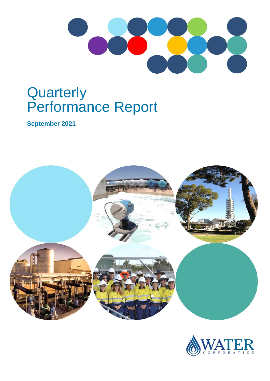

# **Quarterly** Performance Report

**September 2021**



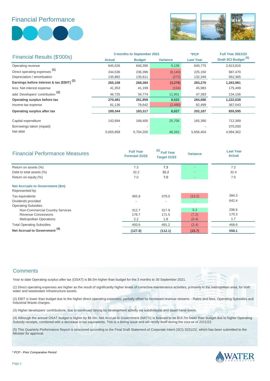### Financial Performance





|                                                      | 3 months to September 2021 |               |                 | *PCP             | <b>Full Year 2021/22</b>        |
|------------------------------------------------------|----------------------------|---------------|-----------------|------------------|---------------------------------|
| Financial Results (\$'000s)                          | <b>Actual</b>              | <b>Budget</b> | <b>Variance</b> | <b>Last Year</b> | Draft SCI Budget <sup>(5)</sup> |
| Operating revenue                                    | 645,526                    | 640,390       | 5,136           | 640,775          | 2,813,816                       |
| Direct operating expenses <sup>(1)</sup>             | 244,536                    | 236,396       | (8, 140)        | 225,150          | 987,470                         |
| Depreciation / amortisation                          | 135,882                    | 135,611       | (272)           | 132,349          | 562,365                         |
| Earnings before interest & tax (EBIT) <sup>(2)</sup> | 265,108                    | 268,384       | (3,276)         | 283,276          | 1,263,981                       |
| less: Net interest expense                           | 41,353                     | 41,199        | (154)           | 45,983           | 175,499                         |
| add: Developers' contribution <sup>(3)</sup>         | 46.725                     | 34,774        | 11,951          | 47,393           | 134,156                         |
| Operating surplus before tax                         | 270,481                    | 261,959       | 8,522           | 284,686          | 1,222,638                       |
| Income tax expense                                   | 81,136                     | 78,642        | (2, 495)        | 82,499           | 367,043                         |
| Operating surplus after tax                          | 189,344                    | 183,317       | 6,027           | 202,187          | 855,595                         |
| Capital expenditure                                  | 142,694                    | 168,400       | 25,706          | 165,390          | 712,369                         |
| Borrowings taken (repaid)                            |                            |               |                 |                  | 375,000                         |
| Net debt                                             | 5,655,858                  | 5,704,200     | 48,342          | 5,656,404        | 4,994,362                       |

| <b>Financial Performance Measures</b>                      | <b>Full Year</b><br>Forecast 21/22 | <sup>(5)</sup> Full Year<br><b>Target 21/22</b> | <b>Variance</b> | <b>Last Year</b><br><b>Actual</b> |
|------------------------------------------------------------|------------------------------------|-------------------------------------------------|-----------------|-----------------------------------|
| Return on assets (%)                                       | 7.3                                | 7.3                                             |                 | 7.2                               |
| Debt to total assets (%)                                   | 32.2                               | 32.2                                            |                 | 32.4                              |
| Return on equity (%)                                       | 7.0                                | 7.0                                             |                 | 7.5                               |
| <b>Net Accruals to Government (\$m)</b><br>Represented by: |                                    |                                                 |                 |                                   |
| Tax equivalents                                            | 365.8                              | 379.0                                           | (13.2)          | 384.3                             |
| Dividends provided                                         | $\overline{a}$                     | $\overline{\phantom{a}}$                        |                 | 642.4                             |
| <b>Operating Subsidies</b>                                 |                                    |                                                 |                 |                                   |
| Non-Commercial Country Services                            | 312.7                              | 317.9                                           | 5.2             | 296.6                             |
| <b>Revenue Concessions</b>                                 | 178.7                              | 171.5                                           | (7.2)           | 170.3                             |
| <b>Metropolitan Operations</b>                             | 2.2                                | 1.8                                             | (0.4)           | 1.7                               |
| <b>Total Operating Subsidies</b>                           | 493.6                              | 491.2                                           | (2.4)           | 468.6                             |
| Net Accrual to Government <sup>(4)</sup>                   | (127.8)                            | (112.1)                                         | (15.7)          | 558.1                             |

#### **Comments**

Year to date Operating surplus after tax (OSAT) is \$6.0m higher than budget for the 3 months to 30 September 2021.

(1) Direct operating expenses are higher as the result of significantly higher levels of corrective maintenance activities, primarily in the metropolitan area, for both water and wastewater infrastructure assets.

(2) EBIT is lower than budget due to the higher direct operating expenses, partially offset by increased revenue streams - Rates and fees, Operating Subsidies and Industrial Waste charges.

(3) Higher developers' contributions, due to continued strong lot development activity via subdivisions and asset hand-overs.

(4) Although the annual OSAT budget is higher by \$6.0m, Net Accrual to Government (NATG) is forecast to be \$15.7m lower than budget due to higher Operating Subsidy receipts, combined with a decrease in tax equivalents. This is a timing issue and will rectify itself during the course of 2021/22.

(5) This Quarterly Performance Report is structured according to the Final Draft Statement of Corporate Intent (SCI) 2021/22, which has been submitted to the Minister for approval.



*\* PCP - Prior Comparative Period*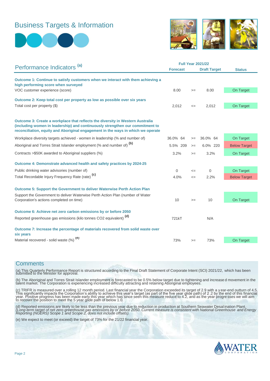## Business Targets & Information





|                                                                                                                                                                                                                                                     |                 | <b>Full Year 2021/22</b> |                     |                     |  |
|-----------------------------------------------------------------------------------------------------------------------------------------------------------------------------------------------------------------------------------------------------|-----------------|--------------------------|---------------------|---------------------|--|
| Performance Indicators <sup>(a)</sup>                                                                                                                                                                                                               | <b>Forecast</b> |                          | <b>Draft Target</b> | <b>Status</b>       |  |
| Outcome 1: Continue to satisfy customers when we interact with them achieving a<br>high performing score when surveyed                                                                                                                              |                 |                          |                     |                     |  |
| VOC customer experience (score)                                                                                                                                                                                                                     | 8.00            | $>=$                     | 8.00                | On Target           |  |
| Outcome 2: Keep total cost per property as low as possible over six years                                                                                                                                                                           |                 |                          |                     |                     |  |
| Total cost per property (\$)                                                                                                                                                                                                                        | 2,012           | $\leq$                   | 2,012               | On Target           |  |
| Outcome 3: Create a workplace that reflects the diversity in Western Australia<br>(including women in leadership) and continuously strengthen our commitment to<br>reconciliation, equity and Aboriginal engagement in the ways in which we operate |                 |                          |                     |                     |  |
| Workplace diversity targets achieved - women in leadership (% and number of)                                                                                                                                                                        | 36.0% 64        | $>=$                     | 36.0% 64            | On Target           |  |
| Aboriginal and Torres Strait Islander employment (% and number of) <sup>(b)</sup>                                                                                                                                                                   | 5.5% 209        | $>=$                     | 6.0% 220            | <b>Below Target</b> |  |
| Contracts > \$50K awarded to Aboriginal suppliers (%)                                                                                                                                                                                               | 3.2%            | $>=$                     | 3.2%                | On Target           |  |
| Outcome 4: Demonstrate advanced health and safety practices by 2024-25                                                                                                                                                                              |                 |                          |                     |                     |  |
| Public drinking water advisories (number of)                                                                                                                                                                                                        | $\Omega$        | $\leq$                   | $\mathbf 0$         | On Target           |  |
| Total Recordable Injury Frequency Rate (rate) <sup>(c)</sup>                                                                                                                                                                                        | 4.0%            | $\leq$                   | 2.2%                | <b>Below Target</b> |  |
| <b>Outcome 5: Support the Government to deliver Waterwise Perth Action Plan</b>                                                                                                                                                                     |                 |                          |                     |                     |  |
| Support the Government to deliver Waterwise Perth Action Plan (number of Water<br>Corporation's actions completed on time)                                                                                                                          | 10              | $>=$                     | 10                  | On Target           |  |
| Outcome 6: Achieve net zero carbon emissions by or before 2050                                                                                                                                                                                      |                 |                          |                     |                     |  |
| Reported greenhouse gas emissions (kilo tonnes CO2 equivalent) <sup>(d)</sup>                                                                                                                                                                       | 721kT           |                          | N/A                 |                     |  |
| Outcome 7: Increase the percentage of materials recovered from solid waste over<br>six years                                                                                                                                                        |                 |                          |                     |                     |  |
| Material recovered - solid waste (%) (e)                                                                                                                                                                                                            | 73%             | $>=$                     | 73%                 | On Target           |  |

#### **Comments**

(a) This Quarterly Performance Report is structured according to the Final Draft Statement of Corporate Intent (SCI) 2021/22, which has been submitted to the Minister for approval.

(b) The Aboriginal and Torres Strait Islander employment is forecasted to be 0.5% below target due to tightening and increase d movement in the<br>talent market. The Corporation is experiencing increased difficulty attracting

(c) TRIFR is measured over a rolling 12 month period. Last financial year the Corporation exceeded its target of 2.9 with a y ear-end outturn of 4.5.<br>This significantly impacts the Corporation's ability to achieve this yea

(d) Reported emissions are likely to be less than the previous year due to reduction in production at Southern Seawater Desal ination Plant.<br>(Long-term target of net zero greenhouse gas emissions by or before 2050. Current

(e) We expect to meet (or exceed) the target of 73% for the 21/22 financial year.